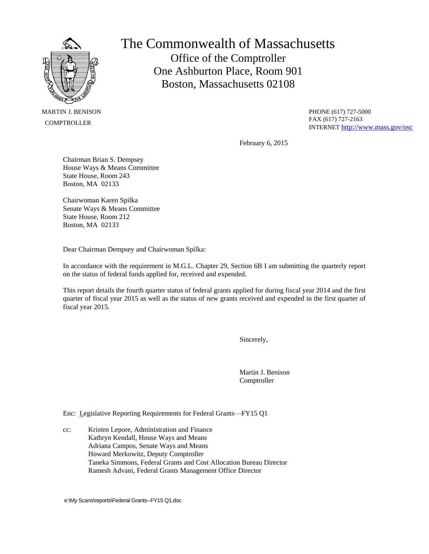

 MARTIN J. BENISON **COMPTROLLER** 

The Commonwealth of Massachusetts Office of the Comptroller One Ashburton Place, Room 901 Boston, Massachusetts 02108

> PHONE (617) 727-5000 FAX (617) 727-2163 INTERNET <http://www.mass.gov/osc>

February 6, 2015

Chairman Brian S. Dempsey House Ways & Means Committee State House, Room 243 Boston, MA 02133

Chairwoman Karen Spilka Senate Ways & Means Committee State House, Room 212 Boston, MA 02133

Dear Chairman Dempsey and Chairwoman Spilka:

In accordance with the requirement in M.G.L. Chapter 29, Section 6B I am submitting the quarterly report on the status of federal funds applied for, received and expended.

This report details the fourth quarter status of federal grants applied for during fiscal year 2014 and the first quarter of fiscal year 2015 as well as the status of new grants received and expended in the first quarter of fiscal year 2015.

Sincerely,

Martin J. Benison Comptroller

Enc: Legislative Reporting Requirements for Federal Grants—FY15 Q1

cc: Kristen Lepore, Administration and Finance Kathryn Kendall, House Ways and Means Adriana Campos, Senate Ways and Means Howard Merkowitz, Deputy Comptroller Taneka Simmons, Federal Grants and Cost Allocation Bureau Director Ramesh Advani, Federal Grants Management Office Director

e:\My Scans\reports\Federal Grants--FY15 Q1.doc